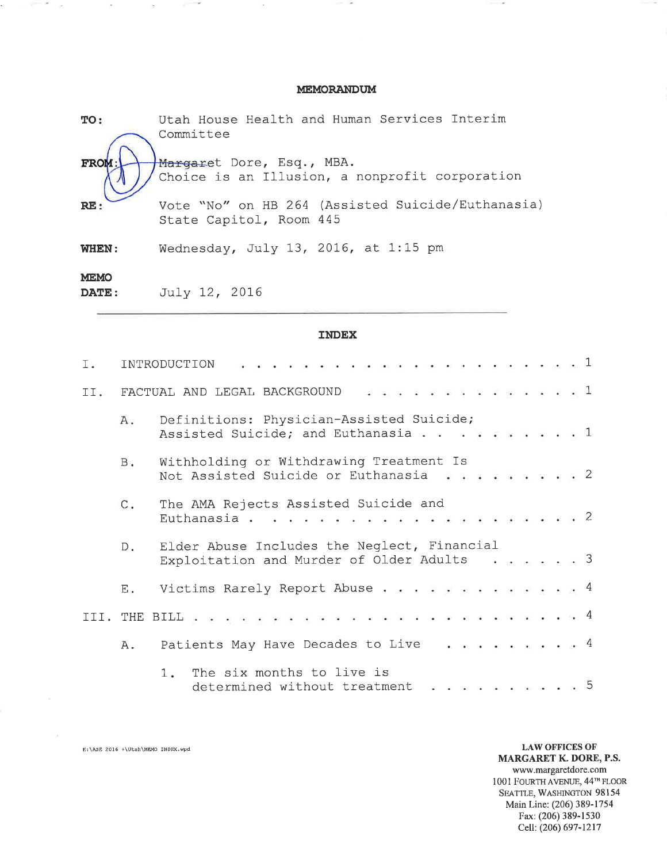### **MEMORANDUM**

| TO:                         | Utah House Health and Human Services Interim<br>Committee                    |
|-----------------------------|------------------------------------------------------------------------------|
| <b>FROM</b>                 | Margaret Dore, Esq., MBA.<br>Choice is an Illusion, a nonprofit corporation  |
| RE:                         | Vote "No" on HB 264 (Assisted Suicide/Euthanasia)<br>State Capitol, Room 445 |
| WHEN:                       | Wednesday, July 13, 2016, at $1:15$ pm                                       |
| <b>MEMO</b><br><b>DATE:</b> | July 12, 2016                                                                |

уś.

### **INDEX**

| Ι. |                | INTRODUCTION                                                                                            |
|----|----------------|---------------------------------------------------------------------------------------------------------|
|    |                | . 1<br>II. FACTUAL AND LEGAL BACKGROUND                                                                 |
|    | Α.             | Definitions: Physician-Assisted Suicide;<br>Assisted Suicide; and Euthanasia 1                          |
|    | $B$ .          | Withholding or Withdrawing Treatment Is<br>Not Assisted Suicide or Euthanasia $\ldots$ , 2              |
|    | $\mathsf{C}$ . | The AMA Rejects Assisted Suicide and                                                                    |
|    |                | D. Elder Abuse Includes the Neglect, Financial<br>Exploitation and Murder of Older Adults $\ldots$ ,  3 |
|    | Е.             | Victims Rarely Report Abuse 4                                                                           |
|    |                |                                                                                                         |
|    | Α.             | Patients May Have Decades to Live $\cdots$ 4                                                            |
|    |                | The six months to live is<br>$1 -$<br>. 5<br>determined without treatment                               |

E:\ASE 2016 +\Utah\MEMO INDEX.wpd

group and  $\bar z$ 

> **LAW OFFICES OF** MARGARET K. DORE, P.S. www.margaretdore.com 1001 FOURTH AVENUE, 44<sup>TH</sup> FLOOR SEATTLE, WASHINGTON 98154 Main Line: (206) 389-1754 Fax: (206) 389-1530 Cell: (206) 697-1217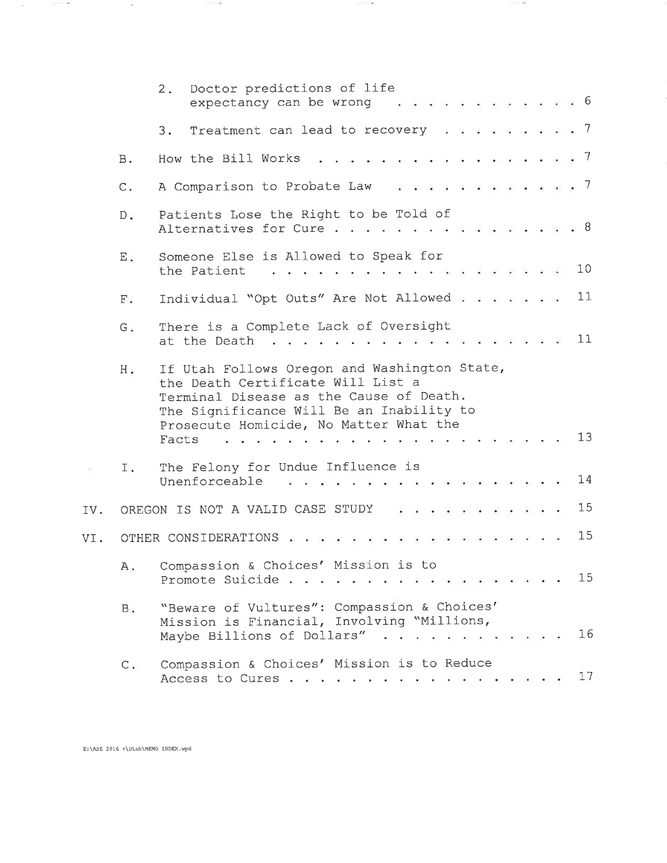|     |               | Doctor predictions of life<br>2:<br>. <b>6</b><br>expectancy can be wrong                                                                                                                                                                                                                 |
|-----|---------------|-------------------------------------------------------------------------------------------------------------------------------------------------------------------------------------------------------------------------------------------------------------------------------------------|
|     |               | Treatment can lead to recovery $\cdots$ 7<br>3.                                                                                                                                                                                                                                           |
|     | <b>B.</b>     | . <i>.</i> 7<br>How the Bill Works                                                                                                                                                                                                                                                        |
|     | $C$ .         | A Comparison to Probate Law 7                                                                                                                                                                                                                                                             |
|     | $D \geq$      | Patients Lose the Right to be Told of<br>Alternatives for Cure 8                                                                                                                                                                                                                          |
|     | $E$ :         | Someone Else is Allowed to Speak for<br>10<br>the Patient<br>restaurant de la companya de la companya de la companya de la companya de la companya de la companya de la com                                                                                                               |
|     | ${\rm F}$ .   | 11<br>Individual "Opt Outs" Are Not Allowed                                                                                                                                                                                                                                               |
|     | $G$ .         | There is a Complete Lack of Oversight<br>11<br>at the Death<br>$\mathbf{r}$ , and the state of the state $\mathbf{r}$ and $\mathbf{r}$                                                                                                                                                    |
|     | $H$ .         | If Utah Follows Oregon and Washington State,<br>the Death Certificate Will List a<br>Terminal Disease as the Cause of Death.<br>The Significance Will Be an Inability to<br>Prosecute Homicide, No Matter What the<br>13<br>Facts<br>a comparative contracts and a comparative contracts. |
|     | $I$ .         | The Felony for Undue Influence is<br>14<br>Unenforceable                                                                                                                                                                                                                                  |
| IV. |               | 15<br>OREGON IS NOT A VALID CASE STUDY                                                                                                                                                                                                                                                    |
| VI. |               | 15<br>OTHER CONSIDERATIONS                                                                                                                                                                                                                                                                |
|     |               | A. Compassion & Choices' Mission is to<br>15<br>Promote Suicide                                                                                                                                                                                                                           |
|     | $B_{\bullet}$ | "Beware of Vultures": Compassion & Choices'<br>Mission is Financial, Involving "Millions,<br>16<br>Maybe Billions of Dollars"                                                                                                                                                             |
|     | $C$ .         | Compassion & Choices' Mission is to Reduce<br>17<br>Access to Cures                                                                                                                                                                                                                       |

**Contract Contract** 

 $\label{eq:1} \begin{array}{lllllllllllllll} \hline \textbf{1} & \textbf{1} & \textbf{1} & \textbf{1} & \textbf{1} & \textbf{1} & \textbf{1} & \textbf{1} & \textbf{1} & \textbf{1} & \textbf{1} & \textbf{1} & \textbf{1} & \textbf{1} & \textbf{1} & \textbf{1} & \textbf{1} & \textbf{1} & \textbf{1} & \textbf{1} & \textbf{1} & \textbf{1} & \textbf{1} & \textbf{1} & \textbf{1} & \textbf{1} & \textbf{1} & \textbf{1} &$ 

 $E:\S 2016 + \Utah\MEMO INDEX.wpd$ 

 $\label{eq:1.1} \mathcal{L} = \mathcal{L} \mathcal{L} = \mathcal{L} \mathcal{L} \mathcal{L} \mathcal{L} \mathcal{L} \mathcal{L} \mathcal{L} \mathcal{L} \mathcal{L} \mathcal{L} \mathcal{L} \mathcal{L} \mathcal{L} \mathcal{L} \mathcal{L} \mathcal{L} \mathcal{L} \mathcal{L} \mathcal{L} \mathcal{L} \mathcal{L} \mathcal{L} \mathcal{L} \mathcal{L} \mathcal{L} \mathcal{L} \mathcal{L} \mathcal{L} \mathcal{L} \mathcal{L} \mathcal{L} \mathcal{L$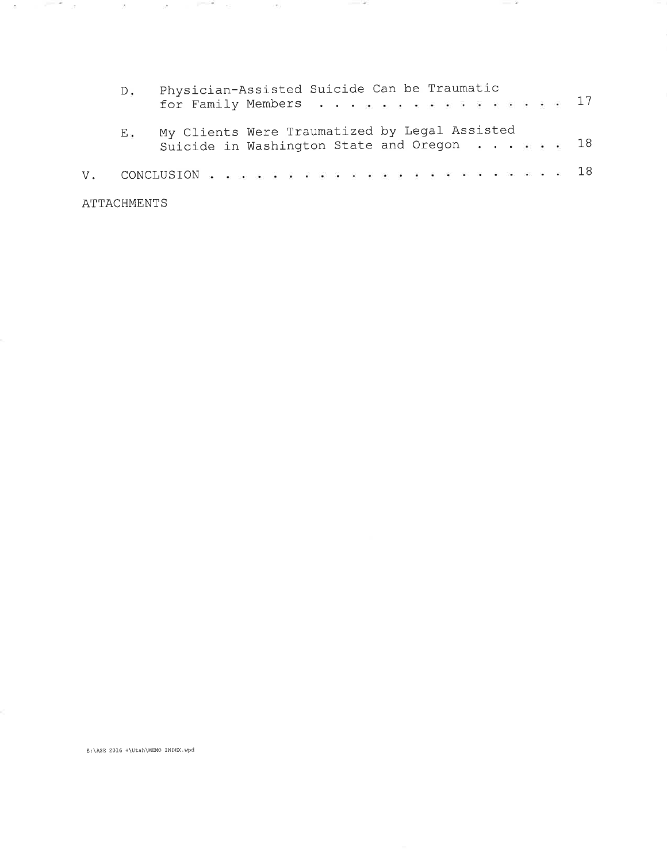| $D_{\bullet}$ | Physician-Assisted Suicide Can be Traumatic<br>for Family Members 17                                |  |  |  |  |  |  |  |  |  |
|---------------|-----------------------------------------------------------------------------------------------------|--|--|--|--|--|--|--|--|--|
| Ε.            | My Clients Were Traumatized by Legal Assisted<br>Suicide in Washington State and Oregon $\cdots$ 18 |  |  |  |  |  |  |  |  |  |
|               | V. CONCLUSION 18                                                                                    |  |  |  |  |  |  |  |  |  |
| ATTACHMENTS   |                                                                                                     |  |  |  |  |  |  |  |  |  |

**STATE** 

- 2

E:\ASE 2016 +\Utah\MEMO INDEX.wpd

 $\langle \sigma \rangle$ 

**Contract Contract** 

 $\sim$   $2$ 

 $\sim 10^{-11}$ 

and the state of the con-

 $\sim 0.00$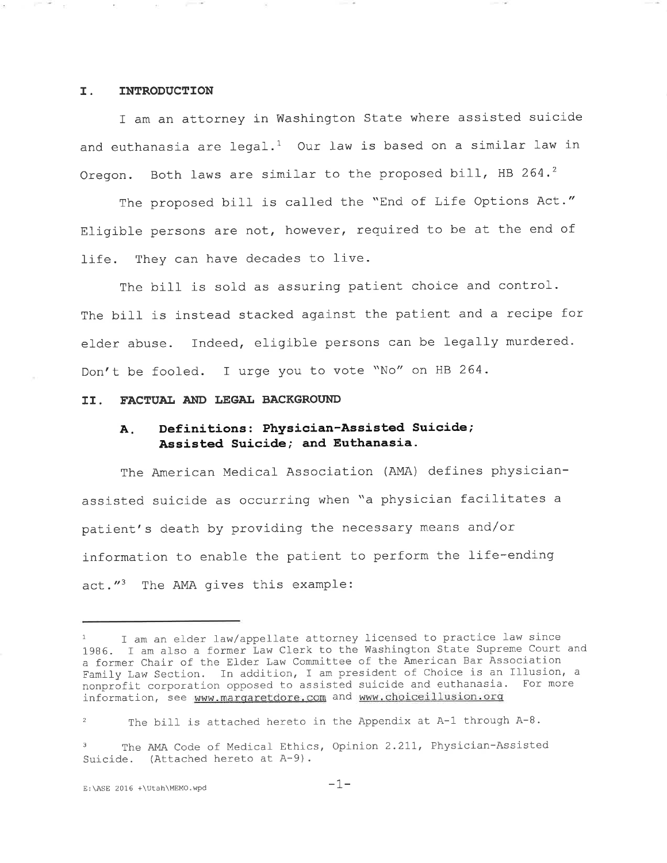### I. INTRODUCTION

I am an attorney in Washington State where assisted suicide and euthanasia are legal.<sup>1</sup> Our law is based on a similar law in Oregon. Both laws are similar to the proposed bill, HB 264. $^2$ 

The proposed bill is called the "End of Life Options Act." Eligible persons are not, however, required to be at the end of life. They can have decades to live.

The bill is sold as assuring patient choice and control. The bill is instead stacked against the patient and a recipe for elder abuse. Indeed, eligible persons can be legally murdered. Don't be fooled. I urge you to vote \\No// on HB 264-

### II. FACTUAL AND LEGAL BACKGROUND

## A. Definitions: Physician-Assisted Suicide; Assisted Suicide; and Euthanasia.

The American Medical Association (AMA) defines physicianassisted suicide as occurring when "a physician facilitates <sup>a</sup> patient's death by providing the necessary means and/or information to enable the patient to perform the life-ending  $act."$  The AMA gives this example:

I am an elder law/appellate attorney licensed to practice law since 1986. I am also a former Law Clerk to the Washington State Supreme Court and a former Chair of the Elder Law Committee of the American Bar Association Family Law Section. In addition, I am president of Choice is an Illusion, <sup>a</sup> nonprofit corporation opposed to assisted suicide and euthanasia. For more information, see www.margaretdore.com and www.choiceillusion.org

<sup>&</sup>lt;sup>2</sup> The bill is attached hereto in the Appendix at A-1 through A-8.

The AMA Code of Medical Ethics, Opinion 2.211, Physician-Assisted Suicide. (Attached hereto at A-9).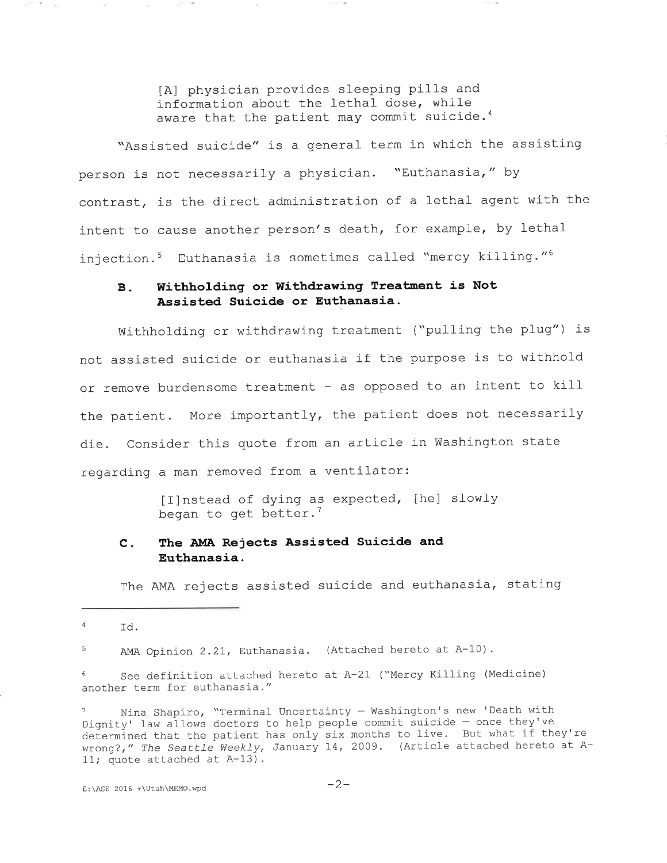[A] physician provides sleeping pills and information about the lethal dose, while aware that the patient may commit suicide.<sup>4</sup>

"Assisted suicide" is a general term in which the assisting person is not necessarily a physician. "Euthanasia," by contrast, is the direct administration of a lethal agent with the intent to cause another person's death, for example, by lethalinjection.<sup>5</sup> Euthanasia is sometimes called "mercy killing."<sup>6</sup>

## B. Withholding or Withdrawing Treatment is Not Assisted Suicide or Euthanasia.

die. Consider this quote from an article in Washington state regarding a man removed from a ventilator Withholding or withdrawing treatment ("pulling the plug") is not assisted suicide or euthanasia if the purpose is to withhold or remove burdensome treatment - as opposed to an intent to kill the patient. More importantly, the patient does not necessarily

> [I]nstead of dying as expected, [he] slowly began to get better.<sup>7</sup>

#### The AMA Rejects Assísted Suicide and Euthanasia.  $c$ .

The AMA rejects assisted suicide and euthanasia, stating

- 8 - 6

 $\mathcal{N}$ 

AMA Opinion 2.21, Euthanasia. (Attached hereto at A-10). 5

 $6$  See definition attached hereto at A-21 ("Mercy Killing (Medicine) another term for euthanasia. "

Nina Shapiro, "Terminal Uncertainty - Washington's new 'Death with Dignity' law allows doctors to help people commit suicide - once they've determined that the patient has only six months to live. But what if they're wrong?," The Seattle Weekly, January 14, 2009. (Article attached hereto at A-II; quote attached at A-13).

 $4$ rd.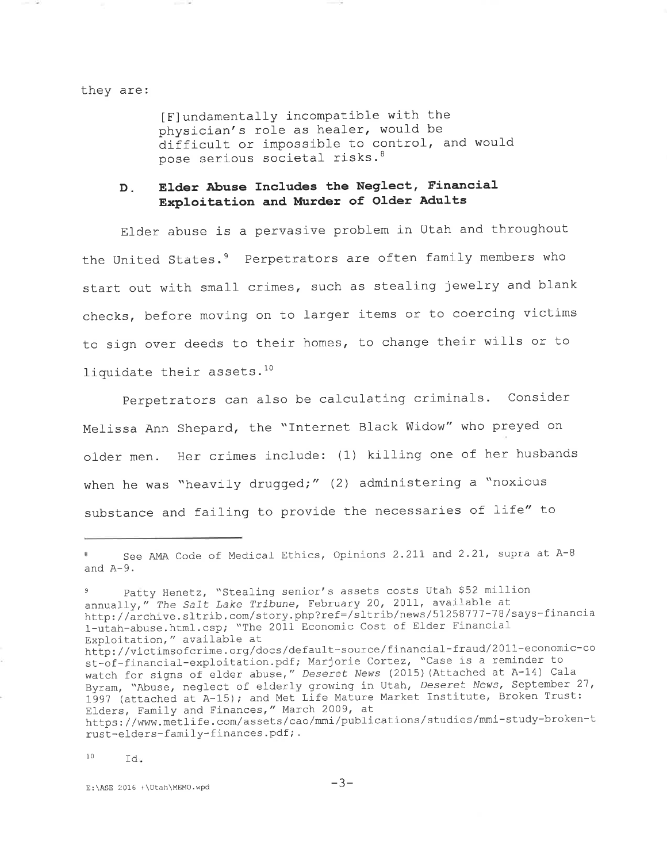#### they are:

[F]undamentally incompatible with the physician's role as healer, would be difficult or impossible to control, and would pose serious societal risks.<sup>8</sup>

#### Elder Abuse Includes the Neglect, Financial  $D<sub>x</sub>$ Exploitation and Murder of Older Adults

Elder abuse is a pervasive problem in Utah and throughout the United States.<sup>9</sup> Perpetrators are often family members who start out with small crimes, such as stealing jewelry and blank checks, before moving on to larger items or to coercing victims to sign over deeds to their homes, to change their wills or to liquidate their assets.<sup>10</sup>

Perpetrators can also be calculating criminals. Consider Melissa Ann Shepard, the "Internet Black Widow" who preyed on older men. Her crimes include: (1) killing one of her husbands when he was "heavily drugged;" (2) administering a "noxious substance and failing to provide the necessaries of life" to

 $10$ Td.

See AMA Code of Medical Ethics, Opinions 2.211 and 2.21, supra at A-8 and  $A-9$ .

Patty Henetz, "Stealing senior's assets costs Utah \$52 million annually," The Salt Lake Tribune, February 20, 2011, available at<br>http://archive.sltrib.com/story.php?ref=/sltrib/news/51258777-78/says-financia 1-utah-abuse.html.csp; "The 2011 Economic Cost of Elder Financial Exploitation," available at http://victimsofcrime.org/docs/default-source/financial-fraud/2011-economic-co st-of-financial-exploitation.pdf; Marjorie Cortez, "Case is a reminder to<br>watch for signs of elder abuse," Deseret News (2015) (Attached at A-14) Cala Byram, "Abuse, neglect of elderly growing in Utah, Deseret News, September 27, 1997 (attached at A-15); and Met Life Mature Market Institute, Broken Trust: Elders, Family and Finances," March 2009, at https://www.metlife.com/assets/cao/mmi/publications/studies/mmi-study-broken-t rust-elders-family-finances.pdf;.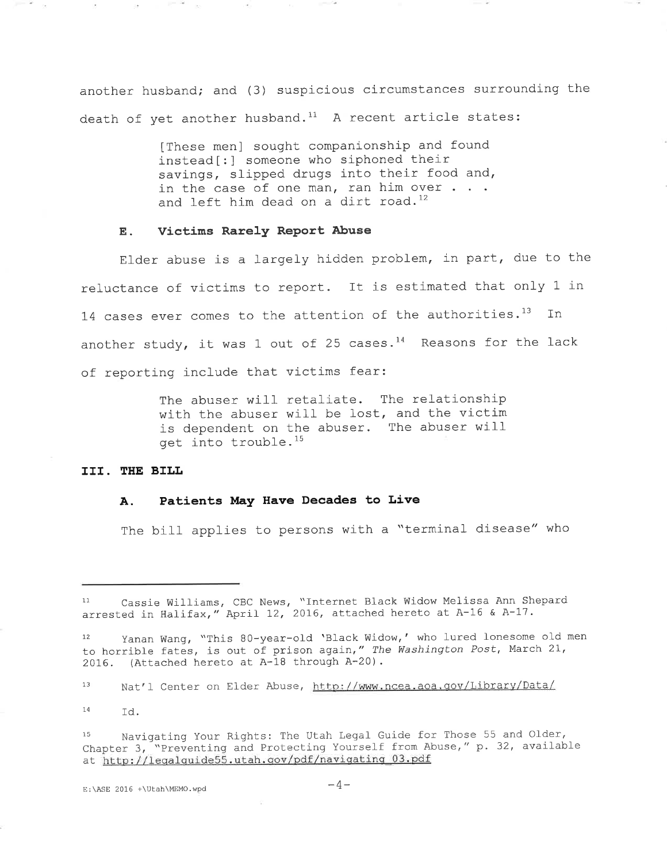another husband; and (3) suspicious circumstances surrounding the death of yet another husband.<sup>11</sup> A recent article states:

> [These men] sought companionship and found instead [: ] someone who siphoned their savings, slipped drugs into their food and, in the case of one man, ran him over  $\ldots$ and left him dead on a dirt road. $^{12}$

#### E. Victims Rarely Report Abuse

Elder abuse is a largely hidden problem, in part, due to the reluctance of victims to report. It is estimated that only 1 in 14 cases ever comes to the attention of the authorities.<sup>13</sup> In another study, it was  $1$  out of 25 cases.<sup>14</sup> Reasons for the lack of reporting include that victims fear:

> The abuser will retaliate. The relationship with the abuser will be lost, and the victim is dependent on the abuser. The abuser will get into trouble.15

### III. THE BILL

#### A. Patients May Have Decades to Live

The bill applies to persons with a "terminal disease" who

13 Nat'l Center on Elder Abuse, http://www.ncea.aoa.gov/Library/Data/

14 Td.

15 Navigating Your Rights: The Utah Legal Guide for Those 55 and Older, Chapter 3, "Preventing and Protecting Yourself from Abuse, " <sup>p</sup> . 32, availabl-eat http://legalguide55.utah.gov/pdf/navigating 03.pdf

E:\ASE 2016 +\Utah\MEMO.wpd  $-4-$ 

Cassie Williams, CBC News, "Internet Black Widow Melissa Ann Shepard arrested in Halifax," April 12, 2016, attached hereto at A-16 & A-17.

<sup>12</sup> Yanan Wang, "This 80-year-old 'Black Widow,' who lured lonesome old men to horrible fates, is out of prison again," The Washington Post, March 21, 2016. (Attached hereto at A-18 through A-20).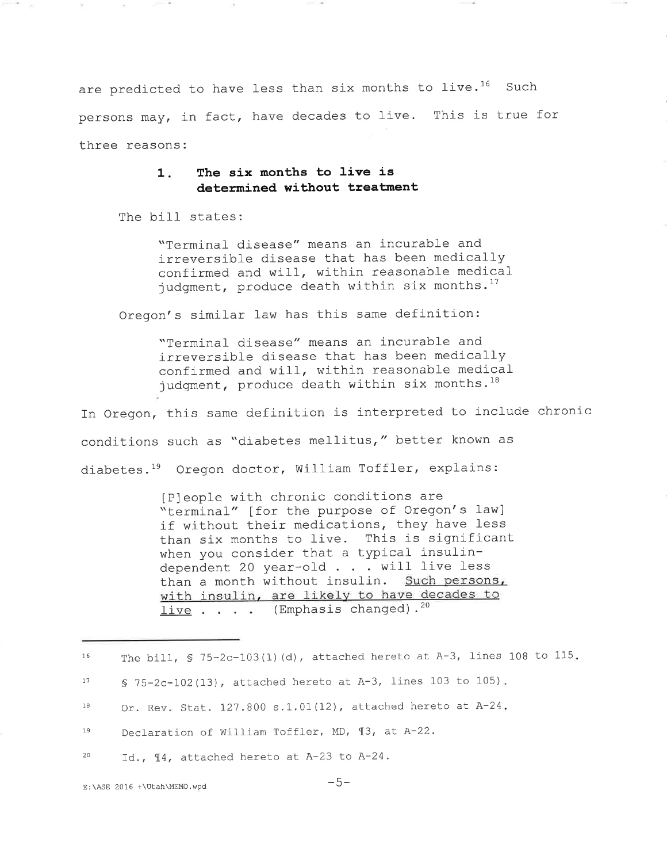are predicted to have less than six months to live.<sup>16</sup> Such persons may, in fact, have decades to live. This is true for three reasons:

### 1. The six months to live is determined without treatment

The bill states:

"Terminal disease" means an incurable and irreversible disease that has been medically confirmed and will, within reasonable medical judgment, produce death within six months.<sup>17</sup>

Oregon's similar law has this same definition:

"Terminal disease" means an incurable and irreversible disease that has been medically confirmed and will, within reasonable medical judgment, produce death within six months. $^{18}$ 

In Oregon, this same definition is interpreted to include chronic conditions such as "diabetes mellitus," better known as diabetes.<sup>19</sup> Oregon doctor, William Toffler, explains

> IP]eople with chronic conditions are "terminal" [for the purpose of Oregon's law] if wíthout their medications, they have less than six months to live. This is significant when you consider that a typical insulindependent 20 year-old  $\ldots$  will live less than a month without insulin. Such persons, with insulin, are likely to have decades to  $live . . . .$  (Emphasis changed).<sup>20</sup>

| 16 | The bill, $\sqrt{5}$ 75-2c-103(1)(d), attached hereto at A-3, lines 108 to 115. |
|----|---------------------------------------------------------------------------------|
| 17 | § 75-2c-102(13), attached hereto at A-3, lines 103 to 105).                     |
| 10 | Or. Rev. Stat. 127.800 s.1.01(12), attached hereto at A-24.                     |
| 19 | Declaration of William Toffler, MD, 13, at A-22.                                |
| 20 | Id., 14, attached hereto at A-23 to A-24.                                       |
|    |                                                                                 |

 $E:\ASE$  2016 +\Utah\MEMO.wpd  $-5-$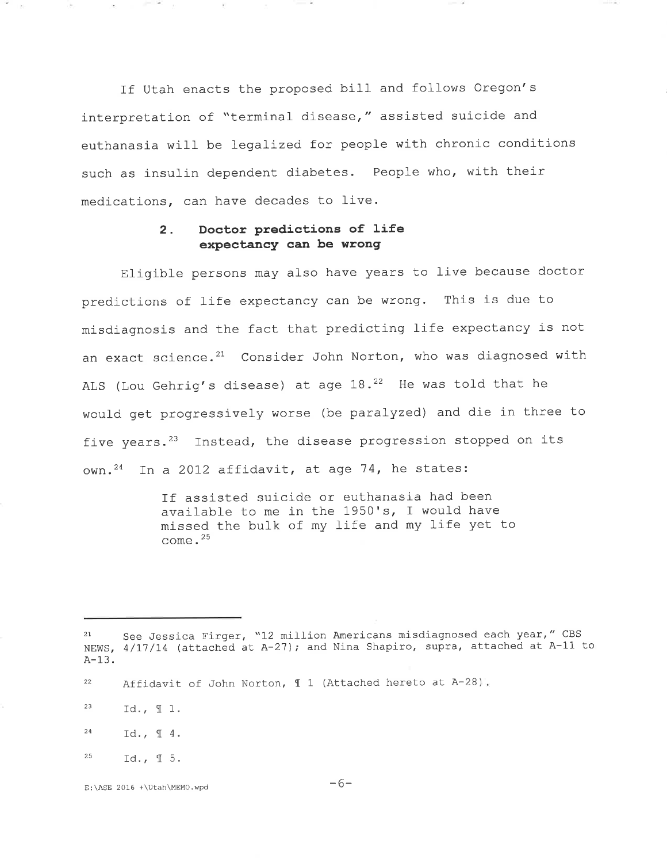interpretation of "terminal disease," assisted suicide and euthanasia wilI be legalized for people with chronic conditions such as insulin dependent diabetes. People who, with thei If Utah enacts the proposed bill and follows Oregon's medications, can have decades to live.

### 2. Doctor predictions of life expectancy can be wrong

Eligible persons may also have years to live because doctor predictions of life expectancy can be wrong. This is due to misdiagnosis and the fact that predicting life expectancy is not an exact science. $21$  Consider John Norton, who was diagnosed with ALS (Lou Gehrig's disease) at age  $18.22$  He was told that he would get progressively worse (be paralyzed) and die in three to five years.<sup>23</sup> Instead, the disease progression stopped on its own.<sup>24</sup> In a 2012 affidavit, at age 74, he states:

> If assisted suicide or euthanasia had been available to me in the  $1950's$ , I would have missed the bulk of my life and my life yet to come.<sup>25</sup>

 $\langle \cdot \rangle$ 

and the con-

<sup>2</sup>t See bessica riiger, T2 million nmclicans misaragnossa sash jour, Tea A-13. See Jessica Firger, "12 million Americans misdiagnosed each year," CBS

<sup>&</sup>lt;sup>22</sup> Affidavit of John Norton,  $\text{\ensuremath{\mathfrak{q}}}\xspace$  1 (Attached hereto at A-28).

<sup>&</sup>lt;sup>23</sup> Id.,  $\mathbb{I}$  1.

 $^{24}$  Id.,  $\text{\text{\textsterling}}\, 4$ .

 $^{25}$  Id., 15.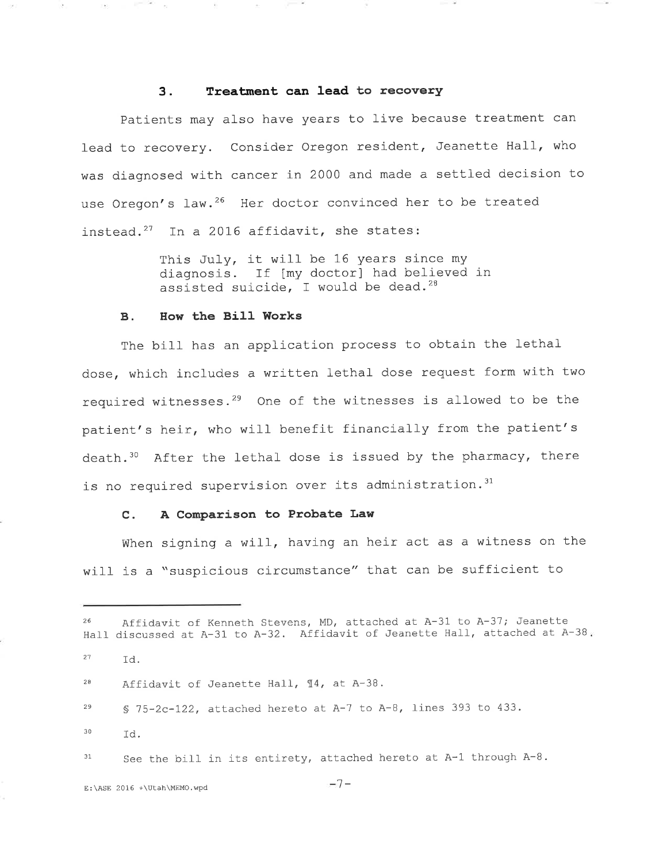# 3. Treatment can lead to recovery

lead to recovery. Consider Oregon resident, Jeanette Hall, who was diagnosed with cancer in 2000 and made a settled decision to use Oregon's law.<sup>26</sup> Her doctor convinced her to be treated Patients may also have years to live because treatment can instead.<sup>27</sup> In a 2016 affidavit, she states:

> This July, it will be 16 years since my diagnosis. If [my doctor] had believed in assisted suicide, I would be dead.<sup>28</sup>

### B. How the Bill Works

 $\mathbb{R}^{n-1}$  and  $\mathbb{R}^{n}$ 

The bill has an application process to obtain the lethal dose, which includes a written lethal- dose request form with two required witnesses. $29$  One of the witnesses is allowed to be the patient's heir, who will benefit financially from the patient' death.<sup>30</sup> After the lethal dose is issued by the pharmacy, there is no required supervision over its administration.<sup>3</sup>

#### C. A Comparison to Probate Law

When signing a will, having an heir act as a witness on the will is a "suspicious circumstance" that can be sufficient to

<sup>26</sup> Affidavit of Kenneth Stevens, MD, attached at A-31 to A-37; Jeanette Hall discussed at A-31 to A-32. Affidavit of Jeanette Hall, attached at A-38.  $^{27}$  Id.  $28$  Affidavit of Jeanette Hall,  $\P 4$ , at A-38.  $29$  S 75-2c-122, attached hereto at A-7 to A-8, lines 393 to 433.  $^{30}$   $Id.$  $31$  See the bill in its entirety, attached hereto at A-1 through A-8.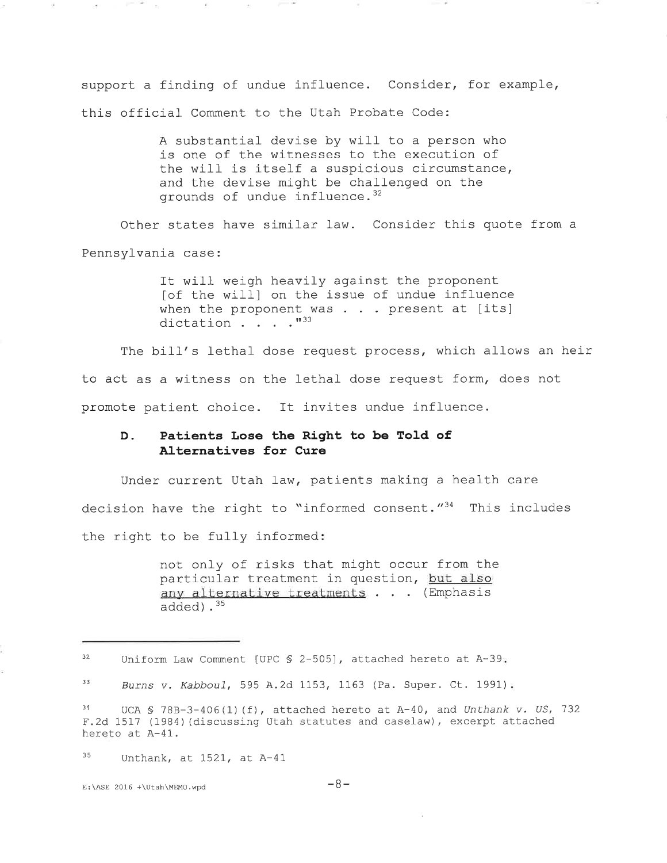support a finding of undue influence. Consider, for example, this official Comment to the Utah Probate Code:

> A substantial devise by will to a person who is one of the witnesses to the execution of the will is itself a suspicious circumstance, and the devise might be challenged on the grounds of undue influence.<sup>32</sup>

Other states have similar law. Consider this quote from a Pennsylvania case:

> It will weigh heavily against the proponent lof the will] on the issue of undue influence when the proponent was  $\ldots$  present at [its] dictation . . "33

to act as a witness on the lethal dose request form, does not promote patient choice. It invites undue influence. The bill's lethal dose request process, which allows an heir

#### D. Patients Lose the Right to be Told of Alternatives for Cure

Under current Utah law, patients making a health care decision have the right to "informed consent."<sup>34</sup> This includes the right to be fully informed

> not only of risks that might occur from the particular treatment in question, but also any alternative treatments . . . (Emphasis added).<sup>35</sup>

 $35$  Unthank, at 1521, at A-41

E:\ASE 2016 +\Utah\MEMO.wpd  $-8-$ 

and the control

<sup>32</sup> Uniform Law Comment [UPC \$ 2-505], attached hereto at A-39.

<sup>33</sup> Burns v. Kabbou1, 595 A.2d 1153, 1163 (Pa. Super. Ct. 1991).

 $34$  UCA S 78B-3-406(1)(f), attached hereto at A-40, and Unthank v. US, 732 F.2d 1517 (1984) (discussing Utah statutes and caselaw), excerpt attached hereto at A-41.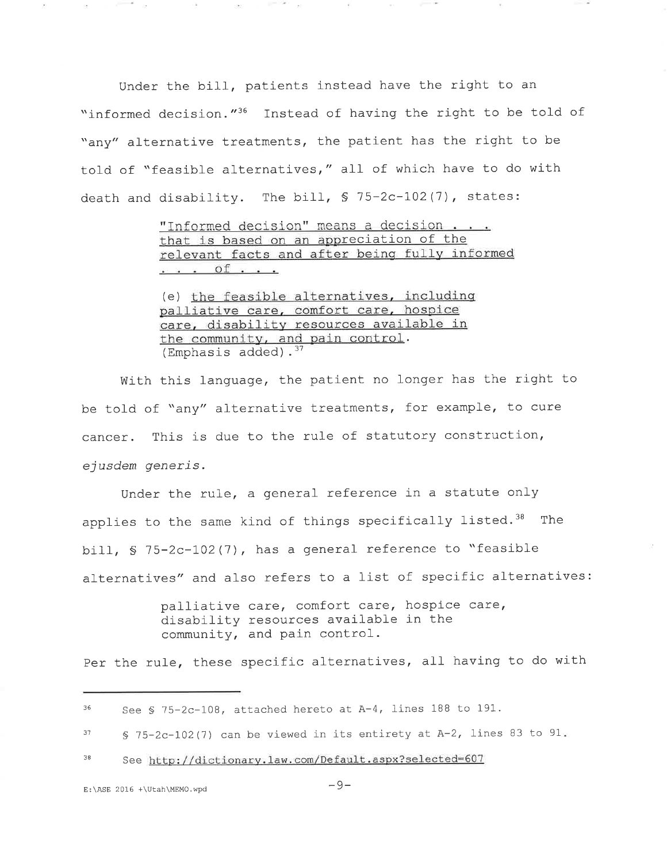Under the bill, patients instead have the right to an "informed decision."<sup>36</sup> Instead of having the right to be told of "any" alternative treatments, the patient has the right to be told of "feasible alternatives," all of which have to do with death and disability. The bill, § 75-2c-102(7), states:

> "Informed decision" means a decision . . . that is based on an appreciation of the relevant facts and after being fully informed  $\cdots$  of  $\cdots$

(e) the feasible alternatives, including palliative care, comfort care, hospice care, disability resources available in the community, and pain control. (Emphasis added). $37$ 

With this language, the patient no longer has the right to be told of "any" alternative treatments, for example, to cure cancer. This is due to the rule of statutory construction, ejusdem generis.

Under the rule, a general reference in a statute only applies to the same kind of things specifically listed.<sup>38</sup> The bill, § 75-2c-102(7), has a general reference to "feasible alternatives" and also refers to a list of specific alternatives:

> palliative care, comfort care, hospice care, disability resources available in the community, and pain control.

Per the rule, these specific alternatives, all having to do with

---

See § 75-2c-108, attached hereto at A-4, lines 188 to 191. 36

<sup>§ 75-2</sup>c-102(7) can be viewed in its entirety at A-2, lines 83 to 91. 37

See http://dictionary.law.com/Default.aspx?selected=607 38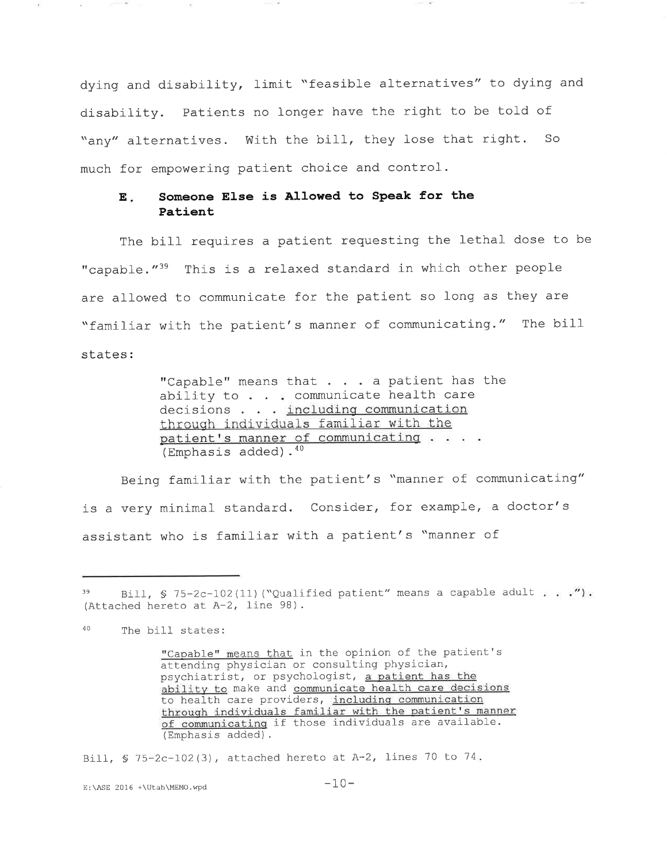dying and disability, limit "feasible alternatives" to dying and disability. Patients no longer have the right to be told of "any" alternatives. With the bill, they lose that right. So much for empowering patient choice and control.

#### Someone Else is Allowed to Speak for the  $\mathbf{E}$  is Patient

The bill requires a patient requesting the lethal dose to be "capable."<sup>39</sup> This is a relaxed standard in which other people are allowed to communicate for the patient so long as they are "familiar with the patient's manner of communicating." The bill states:

> "Capable" means that . . . a patient has the ability to . . . communicate health care decisions . . . including communication through individuals familiar with the patient's manner of communicating . . . . (Emphasis added).<sup>40</sup>

Being familiar with the patient's "manner of communicating" is a very minimal standard. Consider, for example, a doctor's assistant who is familiar with a patient's "manner of

**Committee** State

Bill, § 75-2c-102(3), attached hereto at A-2, lines 70 to 74.

E:\ASE 2016 +\Utah\MEMO.wpd

Bill, § 75-2c-102(11) ("Qualified patient" means a capable adult . . . "). (Attached hereto at A-2, line 98).

<sup>40</sup> The bill states:

<sup>&</sup>quot;Capable" means that in the opinion of the patient's attending physician or consulting physician, psychiatrist, or psychologist, a patient has the ability to make and communicate health care decisions to health care providers, including communication through individuals familiar with the patient's manner of communicating if those individuals are available. (Emphasis added).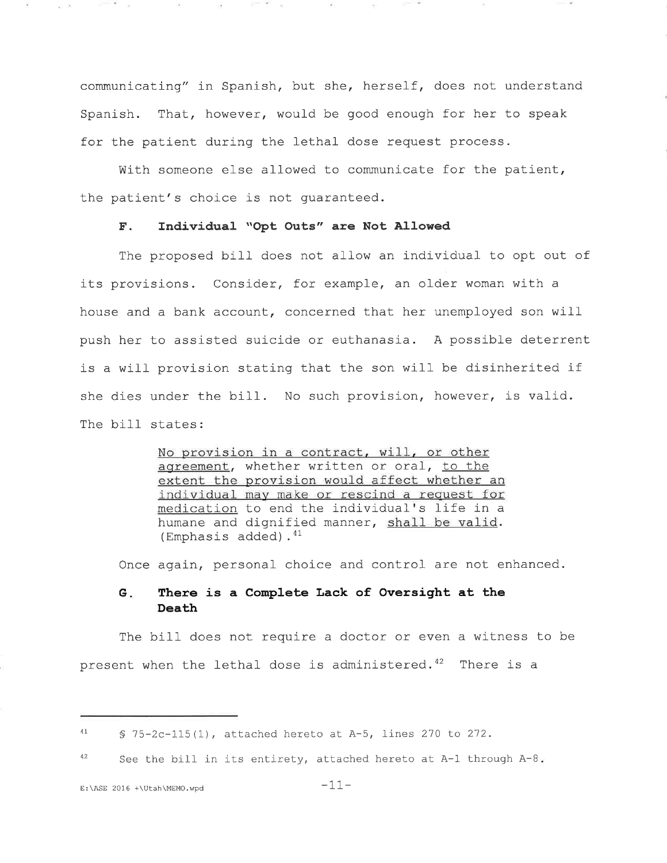communicating" in Spanish, but she, herself, does not understand Spanish. That, however, would be good enough for her to speak for the patient during the lethal dose request process.

With someone else allowed to communicate for the patient, the patient's choice is not guaranteed.

### F. Individual "Opt Outs" are Not Allowed

The proposed bill does not allow an individual to opt out of its provisions. Consider, for example, an older woman with a house and a bank account, concerned that her unemployed son wil push her to assisted suicide or euthanasia. A possible deterrent is a will provision stating that the son will be disinherited i she dies under the bill. No such provision, however, is valid The bill states:

> No provision in a contract, will, or other agreement, whether written or oral, to the extent the provision would affect whether an individual may make or rescind a request for medication to end the individual's life in a humane and dignified manner, shall be valid. (Emphasis added). $41$

Once again, personal choice and control are not enhanced.

### G. There is a Complete Lack of Oversight at the Death

The bill does not require a doctor or even a witness to be present when the lethal dose is administered. $42$  There is a

and the con-

 $\lesssim -25$ 

 $41$  S 75-2c-115(1), attached hereto at A-5, lines 270 to 272.

<sup>&</sup>lt;sup>42</sup> See the bill in its entirety, attached hereto at  $A-1$  through  $A-8$ .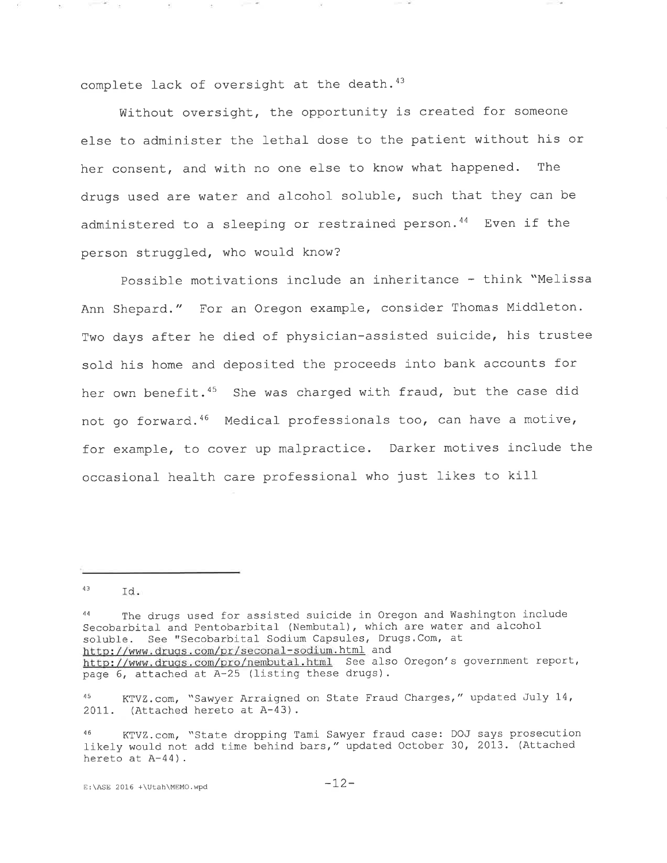complete lack of oversight at the death. $43$ 

Without oversight, the opportunity is created for someone else to administer the lethal dose to the patient without his or her consent, and with no one else to know what happened. The drugs used are water and alcohol soluble, such that they can be administered to a sleeping or restrained person.<sup>44</sup> Even if the person struggled, who would know?

Possible motivations include an inheritance - think "Melissa Ann Shepard." For an Oregon example, consider Thomas Middleton. Two days after he died of physician-assisted suicide, his trustee sold his home and deposited the proceeds into bank accounts for her own benefit.<sup>45</sup> She was charged with fraud, but the case did not go forward.<sup>46</sup> Medical professionals too, can have a motive, for example, to cover up malpractice. Darker motives include the occasional health care professional who just likes to kill

**Commercial** 

 $^{43}$  Id.

<sup>&</sup>lt;sup>44</sup> The drugs used for assisted suicide in Oregon and Washington include Secobarbital and Pentobarbital (Nembutal), which are water and alcohol soluble. See "Secobarbital Sodium Capsules, Drugs.Com, at http://www.drugs.com/pr/seconal-sodium.html and http://www.drugs.com/pr/cooliditedataminum and the second s government report, page 6, attached at A-25 (listing these drugs).

<sup>45</sup> KTVZ.com, "Sawyer Arraigned on State Fraud Charges," updated July 14, 2011. (Attached hereto at  $A-43$ ).

<sup>46</sup> KTVZ.com, "State dropping Tami Sawyer fraud case: DOJ says prosecution 1ike1y would not add time behind bars," updated October 30, 2013. (Attached hereto at A-44).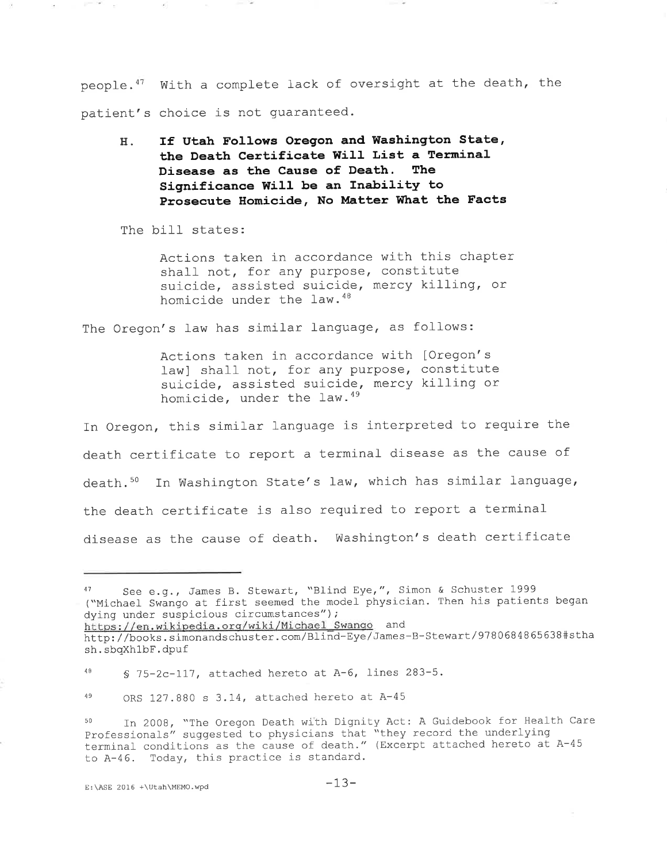people.<sup>47</sup> With a complete lack of oversight at the death, the patient's choice is not quaranteed.

If Utah Follows Oregon and Washington State, Η. the Death Certificate Will List a Terminal Disease as the Cause of Death. The Significance Will be an Inability to Prosecute Homicide, No Matter What the Facts

The bill states:

Actions taken in accordance with this chapter shall not, for any purpose, constitute suicide, assisted suicide, mercy killing, or homicide under the law. 48

The Oregon's law has similar language, as follows:

Actions taken in accordance with [Oregon's law] shall not, for any purpose, constitute suicide, assisted suicide, mercy killing or homicide, under the law.<sup>49</sup>

In Oregon, this similar language is interpreted to require the death certificate to report a terminal disease as the cause of death.<sup>50</sup> In Washington State's law, which has similar language, the death certificate is also required to report a terminal disease as the cause of death. Washington's death certificate

See e.g., James B. Stewart, "Blind Eye,", Simon & Schuster 1999 ("Michael Swango at first seemed the model physician. Then his patients began dying under suspicious circumstances");

https://en.wikipedia.org/wiki/Michael Swango and

http://books.simonandschuster.com/Blind-Eye/James-B-Stewart/9780684865638#stha sh.sbqXhlbF.dpuf

 $4\,8$ § 75-2c-117, attached hereto at A-6, lines 283-5.

<sup>49</sup> ORS 127.880 s 3.14, attached hereto at A-45

In 2008, "The Oregon Death with Dignity Act: A Guidebook for Health Care 50 Professionals" suggested to physicians that "they record the underlying terminal conditions as the cause of death." (Excerpt attached hereto at A-45 to A-46. Today, this practice is standard.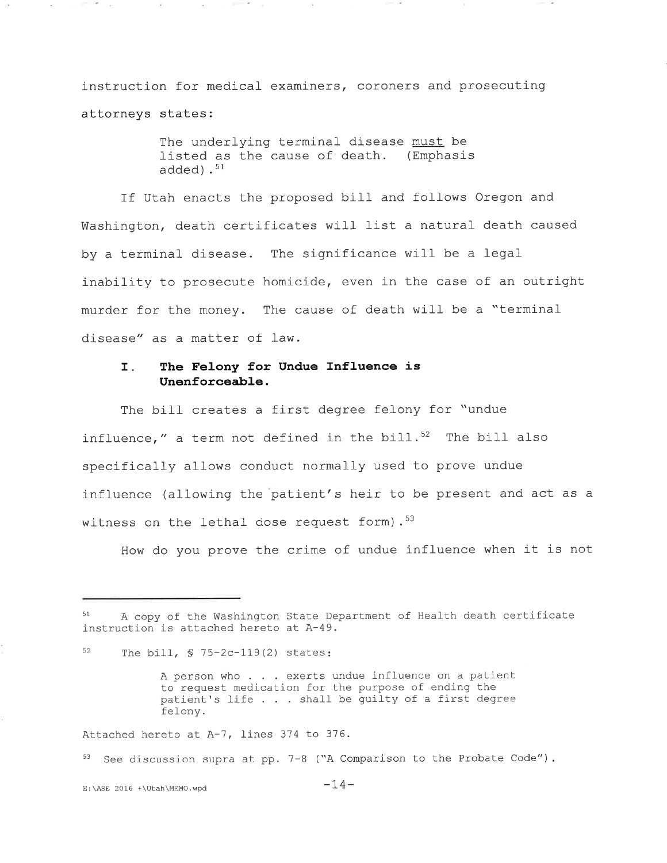instruction for medical- examiners, coroners and prosecuting attorneys states:

> The underlying terminal disease must be listed as the cause of death. (Emphasis added). $^{\rm 51}$

If Utah enacts the proposed bill and follows Oregon and Washington, death certificates will list a natural death caused by a terminal- disease. The significance will be a legal inability to prosecute homicide, even in the case of an outrigh murder for the money. The cause of death will be a "terminal disease" as a matter of law.

#### The Felony for Undue Influence is Unenforceable. I.

The bill creates a first degree felony for "undue influence," a term not defined in the bill. $52$  The bill also specifically allows conduct normally used to prove undue influence (allowing the patient's heir to be present and act as a witness on the lethal dose request form).  $53$ 

How do you prove the crime of undue influence when it is not

Attached hereto at A-7, lines 374 to 376.

<sup>53</sup> See discussion supra at pp. 7-8 ("A Comparison to the Probate Code")

E:\ASE 2016 +\Utah\MEMO.wpd  $-14-$ 

**CONTRACTOR** 

A copy of the Washington State Department of Health death certificate instruction is attached hereto at A-49.

<sup>52</sup> The bill,  $$ 75-2c-119(2)$  states:

A person who . . . exerts undue influence on a patient to request medication for the purpose of ending the patient's life  $\ldots$  shall be guilty of a first degree felony.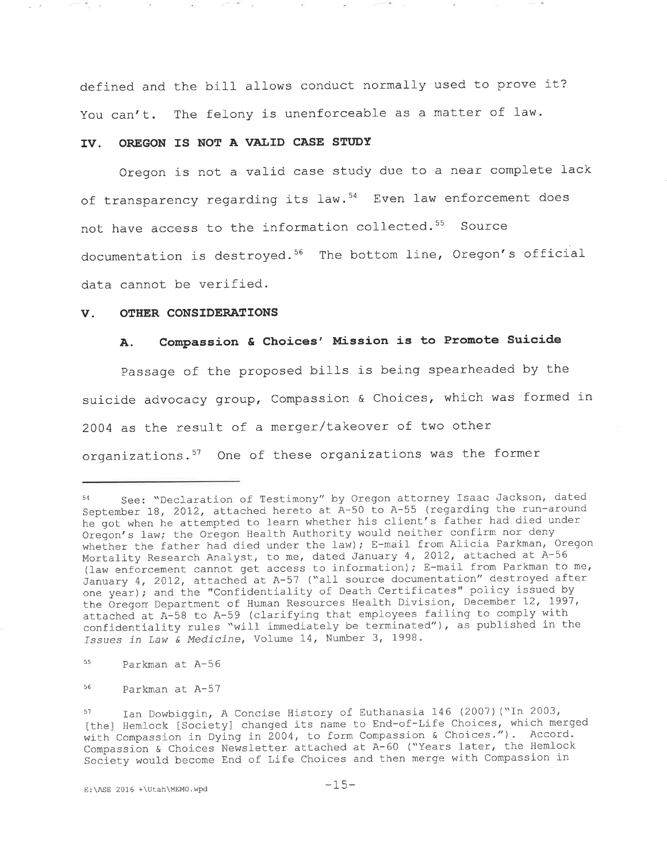defined and the bill allows conduct normally used to prove it? You can't. The felony is unenforceable as a matter of law.

### IV. OREGON IS NOT A VALID CASE STUDY

and the control

Oregon is not a valid case study due to a near complete lack of transparency regarding its law.<sup>54</sup> Even law enforcement does not have access to the information collected.<sup>55</sup> Source documentation is destroyed.56 The bottom line, Oregon's official data cannot be verified.

#### V. OTHER CONSIDERATIONS

 $\mu_1$  .  $\lambda_2$ 

## A. Compassion & Choices' Mission is to Promote Suicide

passage of the proposed bills is being spearheaded by the suicide advocacy group, Compassion & Choices, which was formed in 2004 as the result of a merger/takeover of two other organizations.  $57$  One of these organizations was the former

See: "Declaration of Testimony" by Oregon attorney Isaac Jackson, dated September 18, 2012, attached hereto at  $A-50$  to  $A-55$  (regarding the run-around he got when he attempted to learn whether his client's father had died under Oregon's law; the Oregon Health Authority would neither confirm nor deny whether the father had died under the law); E-mail from Alicia Parkman, Oregon Mortality Research Analyst, to me, dated January 4, 2012, attached at A-56 (law enforcement cannot get access to information); E-mail from Parkman to me, January 4, 2012, attached at A-57 ("all source documentation" destroyed after one year); and the "Confidentiality of Death Certificates" policy issued by the Oregon Department of Human Resources Health Division, December 12, 1997, attacheà at A-58 to A-59 (clarifying that employees failing to comply with confidentiality rules "will immediately be terminated"), as published in the Issues in Law & Medicine, Volume 14, Number 3, 1998.

Parkman at A-56 55

Parkman at A-57 56

<sup>57</sup> Ian Dowbiggin, A Concise History of Euthanasia 146 (2007) ("In 2003, [the] Hemlock [Society] changed its name to End-of-Life Choices, which merged with Compassion in Dying in 2004, to form Compassion & Choices."). Accord. Compassion & Choices Newsletter attached at A-60 ("Years later, the Hemlock Society would become End of Life Choices and then merge with Compassion in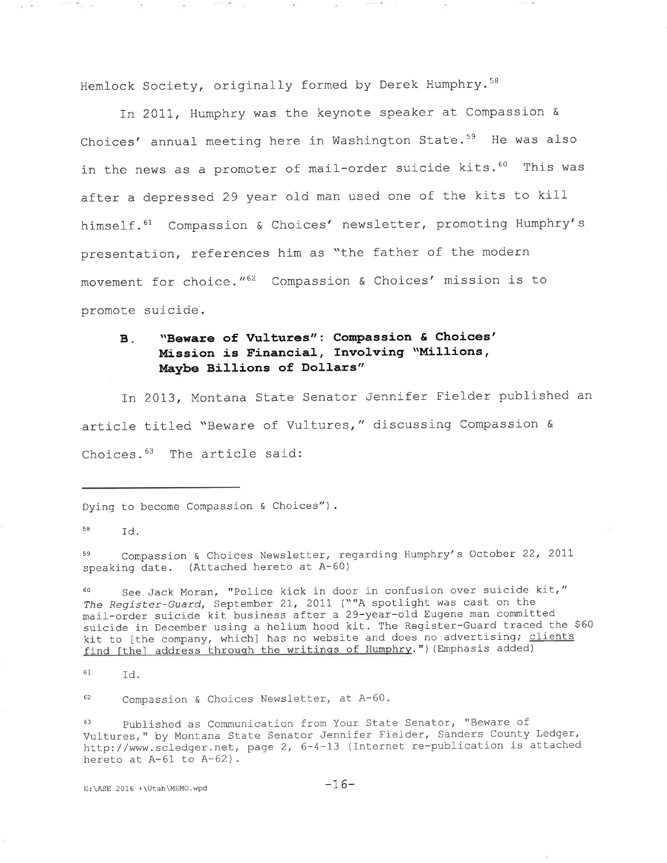Hemlock Society, originally formed by Derek Humphry.<sup>58</sup>

In 2011, Humphry was the keynote speaker at Compassion & Choices' annual meeting here in Washington State.<sup>59</sup> He was also in the news as a promoter of mail-order suicide kits.<sup>60</sup> This was after a depressed 29 year old man used one of the kits to kill himself.<sup>61</sup> Compassion & Choices' newsletter, promoting Humphry's presentation, references him as "the father of the modern movement for choice."62 Compassion & Choices' mission is to promote suicide.

## B. "Beware of Vultures": Compassion & Choices' Mission is Financial, Involving "Millions, Maybe Billions of Dollars"

In 2013, Montana State Senator Jennifer Fielder published an article titled "Beware of Vultures, " discussing Compassion & Choices. $^{63}$  The article said:

Dying to become Compassion & Choices").

 $58$   $Td$ .

59 Compassion & Choices Newsletter, regarding Humphry's October 22, 2011 speaking date. (Attached hereto at A-60)

See Jack Moran, "Police kick in door in confusion over suicide kit," The Register-Guard, September 21, 2011 (""A spotlight was cast on the mail-order suicide kit business after a 29-year-old Eugene man committed suicide in December using a helium hood kit. The Register-Guard traced the \$60 kit to [the company, which] has no website and does no advertising; clients find [the] address through the writings of Humphry.") (Emphasis added)

61. rd.

62 Compassion & Choices Newsletter, at A-60.

63 published as Communication from Your State Senator, "Beware of Vultures, " by Montana State Senator Jennifer Fielder, Sanders County Ledger, http://www.scledger.net, page 2, 6-4-13 (Internet re-publication is attached hereto at  $A-61$  to  $A-62$ ).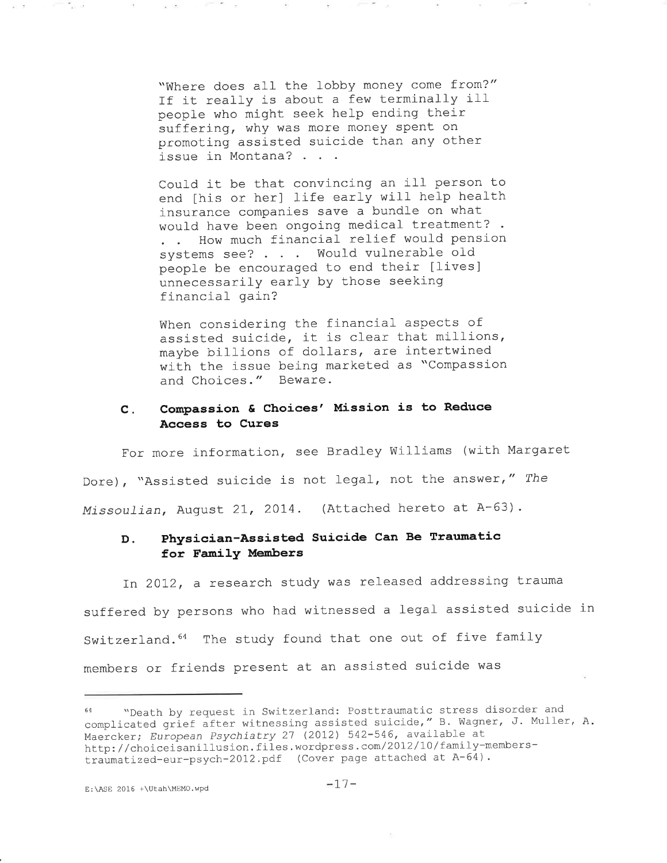"Where does all the lobby money come from?" If it really is about a few terminally ill people who might seek help ending their suffering, why was more money spent on promoting assisted suicide than any other issue in Montana?

 $-20$ 

 $\mu$  .  $\sigma$ 

Could it be that convincing an ill person to end [his or her] life early will help health insurance companies save a bundle on what would have been ongoing medical treatment? . How much financial relief would pension . . How much financial relief would pens.<br>systems see? . . . Would vulnerable old people be encouraged to end their [lives] unnecessarily early by those seeking financial gain?

When considering the financial aspects of assisted suicide, it is clear that millions, maybe billions of dollars, are intertwined with the issue being marketed as "Compassion and Choices. " Beware.

#### Compassion & Choices' Mission is to Reduce Access to Cures  $c$ .

For more information, see Bradley Williams (with Margaret Dore), "Assisted suicide is not legal, not the answer," The Missoulian, August 21, 2014. (Attached hereto at A-63).

## D. Physician-Assisted Suicide Can Be Traumatic for Family Members

In 2012, a research study was released addressing trauma suffered by persons who had witnessed a legal assisted suicide in Switzerland.<sup>64</sup> The study found that one out of five family members or friends present at an assisted suicide was

<sup>64 .</sup> Wheath by request in Switzerland: Posttraumatic stress disorder and complicated grief after witnessing assisted suicide," B. Wagner, J. Muller, A Maercker; European Psychiatry 27 (2012) 542-546, available at http://choiceisanillusion.files.wordpress.com/2012/10/family-memberstraumatized-eur-psych-2012.pdf (Cover page attached at A-64).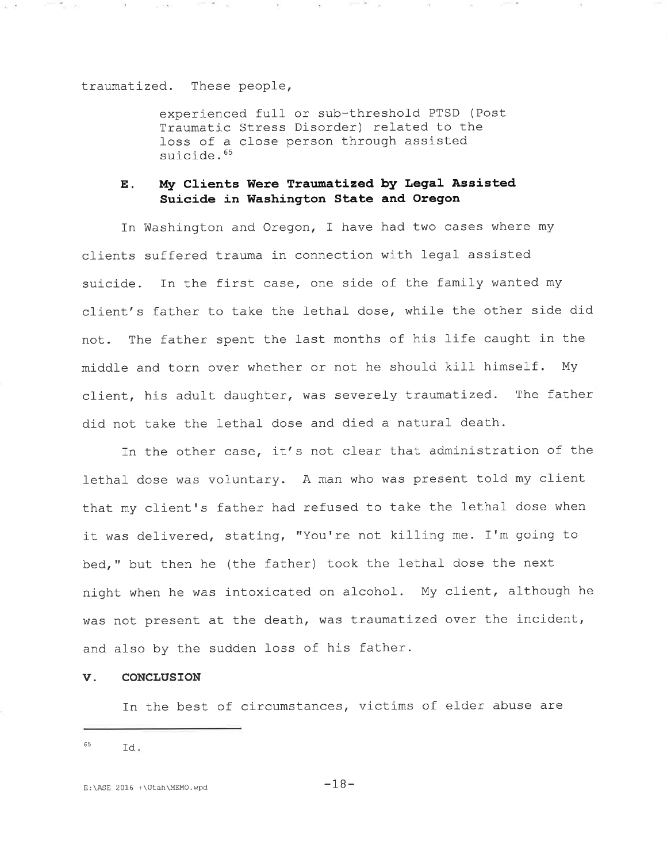traumatized. These people,

100 Million

 $\mathcal{P}_\lambda$ 

i i ™i ser

 $\sim$ 

 $\equiv$  550

experienced full or sub-threshold PTSD (Post Traumatic Stress Disorder) related to the loss of a close person through assisted suicide.<sup>65</sup>

## E. My Clients Were Traumatized by Legal Assisted Suicide in Washington State and Oregon

In Washington and Oregon, I have had two cases where my clients suffered trauma in connection with legal assisted suicide. In the first case, one side of the family wanted my client's father to take the lethal dose, while the other side did not. The father spent the Iast months of his life caught in the middle and torn over whether or not he should kitl himself. My client, his adult daughter, was severely traumatized. The father did not take the lethal dose and died a natural death.

In the other case, it's not clear that administration of the lethal dose was voluntary. A man who was present told my clien that my client's father had refused to take the lethal dose when it was delivered, stating, "You're not killing me. I'm going to bed," but then he (the father) took the lethal dose the next night when he was intoxicated on alcohol. My client, although he was not present at the death, was traumatized over the incident, and also by the sudden loss of his father.

### v. coNclusroN

In the best of circumstances, victims of elder abuse are

 $^{65}$  Id.